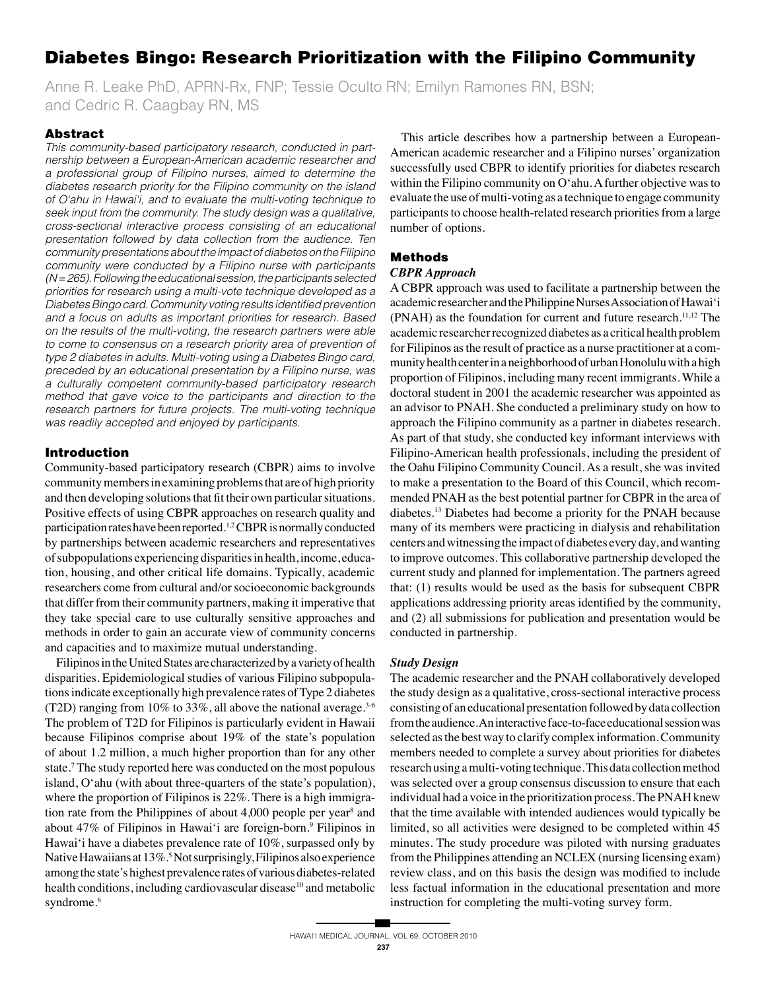# **Diabetes Bingo: Research Prioritization with the Filipino Community**

Anne R. Leake PhD, APRN-Rx, FNP; Tessie Oculto RN; Emilyn Ramones RN, BSN; and Cedric R. Caagbay RN, MS

# **Abstract**

This community-based participatory research, conducted in partnership between a European-American academic researcher and a professional group of Filipino nurses, aimed to determine the diabetes research priority for the Filipino community on the island of O'ahu in Hawai'i, and to evaluate the multi-voting technique to seek input from the community. The study design was a qualitative, cross-sectional interactive process consisting of an educational presentation followed by data collection from the audience. Ten community presentations about the impact of diabetes on the Filipino community were conducted by a Filipino nurse with participants  $(N = 265)$ . Following the educational session, the participants selected priorities for research using a multi-vote technique developed as a Diabetes Bingo card. Community voting results identified prevention and a focus on adults as important priorities for research. Based on the results of the multi-voting, the research partners were able to come to consensus on a research priority area of prevention of type 2 diabetes in adults. Multi-voting using a Diabetes Bingo card, preceded by an educational presentation by a Filipino nurse, was a culturally competent community-based participatory research method that gave voice to the participants and direction to the research partners for future projects. The multi-voting technique was readily accepted and enjoyed by participants.

# **Introduction**

Community-based participatory research (CBPR) aims to involve community members in examining problems that are of high priority and then developing solutions that fit their own particular situations. Positive effects of using CBPR approaches on research quality and participation rates have been reported.<sup>1,2</sup> CBPR is normally conducted by partnerships between academic researchers and representatives of subpopulations experiencing disparities in health, income, education, housing, and other critical life domains. Typically, academic researchers come from cultural and/or socioeconomic backgrounds that differ from their community partners, making it imperative that they take special care to use culturally sensitive approaches and methods in order to gain an accurate view of community concerns and capacities and to maximize mutual understanding.

Filipinos in the United States are characterized by a variety of health disparities. Epidemiological studies of various Filipino subpopulations indicate exceptionally high prevalence rates of Type 2 diabetes (T2D) ranging from 10% to 33%, all above the national average.  $3-6$ The problem of T2D for Filipinos is particularly evident in Hawaii because Filipinos comprise about 19% of the state's population of about 1.2 million, a much higher proportion than for any other state.<sup>7</sup> The study reported here was conducted on the most populous island, O'ahu (with about three-quarters of the state's population), where the proportion of Filipinos is 22%. There is a high immigration rate from the Philippines of about 4,000 people per year<sup>8</sup> and about 47% of Filipinos in Hawai'i are foreign-born.<sup>9</sup> Filipinos in Hawai'i have a diabetes prevalence rate of 10%, surpassed only by Native Hawaiians at 13%.<sup>5</sup> Not surprisingly, Filipinos also experience among the state's highest prevalence rates of various diabetes-related health conditions, including cardiovascular disease<sup>10</sup> and metabolic syndrome.<sup>6</sup>

This article describes how a partnership between a European-American academic researcher and a Filipino nurses' organization successfully used CBPR to identify priorities for diabetes research within the Filipino community on O'ahu. A further objective was to evaluate the use of multi-voting as a technique to engage community participants to choose health-related research priorities from a large number of options.

# **Methods**

# **CBPR** Approach

A CBPR approach was used to facilitate a partnership between the academic researcher and the Philippine Nurses Association of Hawai'i (PNAH) as the foundation for current and future research.<sup>11,12</sup> The academic researcher recognized diabetes as a critical health problem for Filipinos as the result of practice as a nurse practitioner at a community health center in a neighborhood of urban Honolulu with a high proportion of Filipinos, including many recent immigrants. While a doctoral student in 2001 the academic researcher was appointed as an advisor to PNAH. She conducted a preliminary study on how to approach the Filipino community as a partner in diabetes research. As part of that study, she conducted key informant interviews with Filipino-American health professionals, including the president of the Oahu Filipino Community Council. As a result, she was invited to make a presentation to the Board of this Council, which recommended PNAH as the best potential partner for CBPR in the area of diabetes.<sup>13</sup> Diabetes had become a priority for the PNAH because many of its members were practicing in dialysis and rehabilitation centers and witnessing the impact of diabetes every day, and wanting to improve outcomes. This collaborative partnership developed the current study and planned for implementation. The partners agreed that: (1) results would be used as the basis for subsequent CBPR applications addressing priority areas identified by the community, and (2) all submissions for publication and presentation would be conducted in partnership.

## **Study Design**

The academic researcher and the PNAH collaboratively developed the study design as a qualitative, cross-sectional interactive process consisting of an educational presentation followed by data collection from the audience. An interactive face-to-face educational session was selected as the best way to clarify complex information. Community members needed to complete a survey about priorities for diabetes research using a multi-voting technique. This data collection method was selected over a group consensus discussion to ensure that each individual had a voice in the prioritization process. The PNAH knew that the time available with intended audiences would typically be limited, so all activities were designed to be completed within 45 minutes. The study procedure was piloted with nursing graduates from the Philippines attending an NCLEX (nursing licensing exam) review class, and on this basis the design was modified to include less factual information in the educational presentation and more instruction for completing the multi-voting survey form.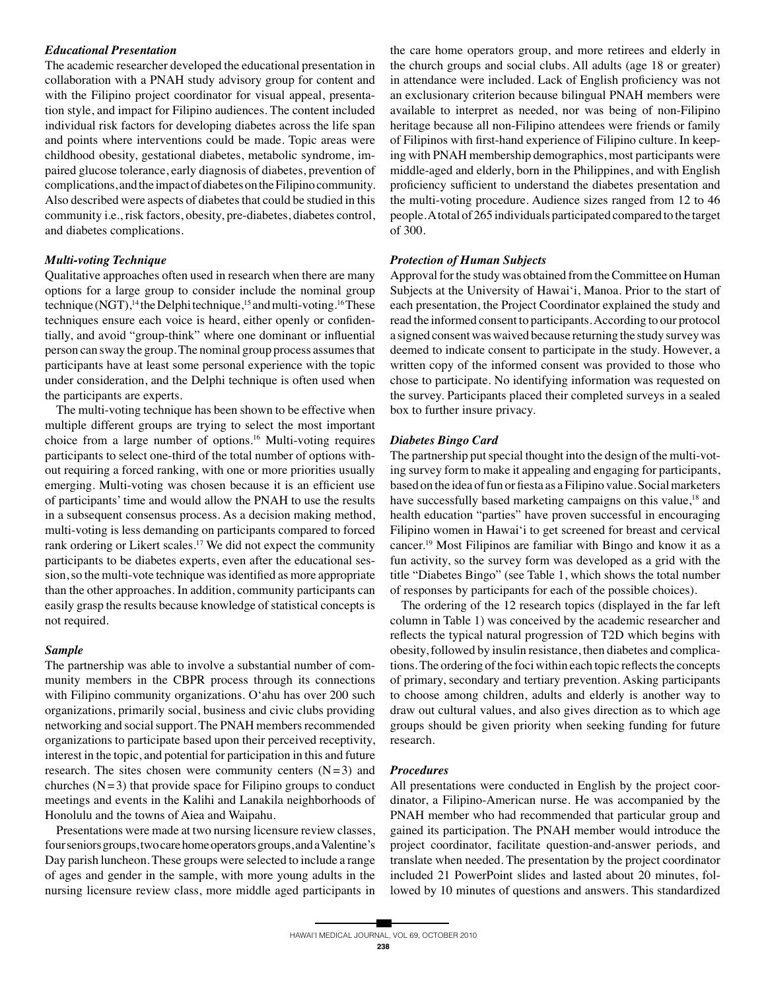# *Educational Presentation*

The academic researcher developed the educational presentation in collaboration with a PNAH study advisory group for content and with the Filipino project coordinator for visual appeal, presentation style, and impact for Filipino audiences. The content included individual risk factors for developing diabetes across the life span and points where interventions could be made. Topic areas were childhood obesity, gestational diabetes, metabolic syndrome, impaired glucose tolerance, early diagnosis of diabetes, prevention of complications, and the impact of diabetes on the Filipino community. Also described were aspects of diabetes that could be studied in this community i.e., risk factors, obesity, pre-diabetes, diabetes control, and diabetes complications.

# *Multi-voting Technique*

Qualitative approaches often used in research when there are many options for a large group to consider include the nominal group technique (NGT),<sup>14</sup> the Delphi technique,<sup>15</sup> and multi-voting.<sup>16</sup> These techniques ensure each voice is heard, either openly or confidentially, and avoid "group-think" where one dominant or influential person can sway the group. The nominal group process assumes that participants have at least some personal experience with the topic under consideration, and the Delphi technique is often used when the participants are experts.

 The multi-voting technique has been shown to be effective when multiple different groups are trying to select the most important choice from a large number of options.16 Multi-voting requires participants to select one-third of the total number of options without requiring a forced ranking, with one or more priorities usually emerging. Multi-voting was chosen because it is an efficient use of participants' time and would allow the PNAH to use the results in a subsequent consensus process. As a decision making method, multi-voting is less demanding on participants compared to forced rank ordering or Likert scales.<sup>17</sup> We did not expect the community participants to be diabetes experts, even after the educational session, so the multi-vote technique was identified as more appropriate than the other approaches. In addition, community participants can easily grasp the results because knowledge of statistical concepts is not required.

#### *Sample*

The partnership was able to involve a substantial number of community members in the CBPR process through its connections with Filipino community organizations. O'ahu has over 200 such organizations, primarily social, business and civic clubs providing networking and social support. The PNAH members recommended organizations to participate based upon their perceived receptivity, interest in the topic, and potential for participation in this and future research. The sites chosen were community centers  $(N=3)$  and churches  $(N=3)$  that provide space for Filipino groups to conduct meetings and events in the Kalihi and Lanakila neighborhoods of Honolulu and the towns of Aiea and Waipahu.

 Presentations were made at two nursing licensure review classes, four seniors groups, two care home operators groups, and a Valentine's Day parish luncheon. These groups were selected to include a range of ages and gender in the sample, with more young adults in the nursing licensure review class, more middle aged participants in

the care home operators group, and more retirees and elderly in the church groups and social clubs. All adults (age 18 or greater) in attendance were included. Lack of English proficiency was not an exclusionary criterion because bilingual PNAH members were available to interpret as needed, nor was being of non-Filipino heritage because all non-Filipino attendees were friends or family of Filipinos with first-hand experience of Filipino culture. In keeping with PNAH membership demographics, most participants were middle-aged and elderly, born in the Philippines, and with English proficiency sufficient to understand the diabetes presentation and the multi-voting procedure. Audience sizes ranged from 12 to 46 people. A total of 265 individuals participated compared to the target of 300.

## *Protection of Human Subjects*

Approval for the study was obtained from the Committee on Human Subjects at the University of Hawai'i, Manoa. Prior to the start of each presentation, the Project Coordinator explained the study and read the informed consent to participants. According to our protocol a signed consent was waived because returning the study survey was deemed to indicate consent to participate in the study. However, a written copy of the informed consent was provided to those who chose to participate. No identifying information was requested on the survey. Participants placed their completed surveys in a sealed box to further insure privacy.

# *Diabetes Bingo Card*

The partnership put special thought into the design of the multi-voting survey form to make it appealing and engaging for participants, based on the idea of fun or fiesta as a Filipino value. Social marketers have successfully based marketing campaigns on this value,<sup>18</sup> and health education "parties" have proven successful in encouraging Filipino women in Hawai'i to get screened for breast and cervical cancer.19 Most Filipinos are familiar with Bingo and know it as a fun activity, so the survey form was developed as a grid with the title "Diabetes Bingo" (see Table 1, which shows the total number of responses by participants for each of the possible choices).

 The ordering of the 12 research topics (displayed in the far left column in Table 1) was conceived by the academic researcher and reflects the typical natural progression of T2D which begins with obesity, followed by insulin resistance, then diabetes and complications. The ordering of the foci within each topic reflects the concepts of primary, secondary and tertiary prevention. Asking participants to choose among children, adults and elderly is another way to draw out cultural values, and also gives direction as to which age groups should be given priority when seeking funding for future research.

## *Procedures*

All presentations were conducted in English by the project coordinator, a Filipino-American nurse. He was accompanied by the PNAH member who had recommended that particular group and gained its participation. The PNAH member would introduce the project coordinator, facilitate question-and-answer periods, and translate when needed. The presentation by the project coordinator included 21 PowerPoint slides and lasted about 20 minutes, followed by 10 minutes of questions and answers. This standardized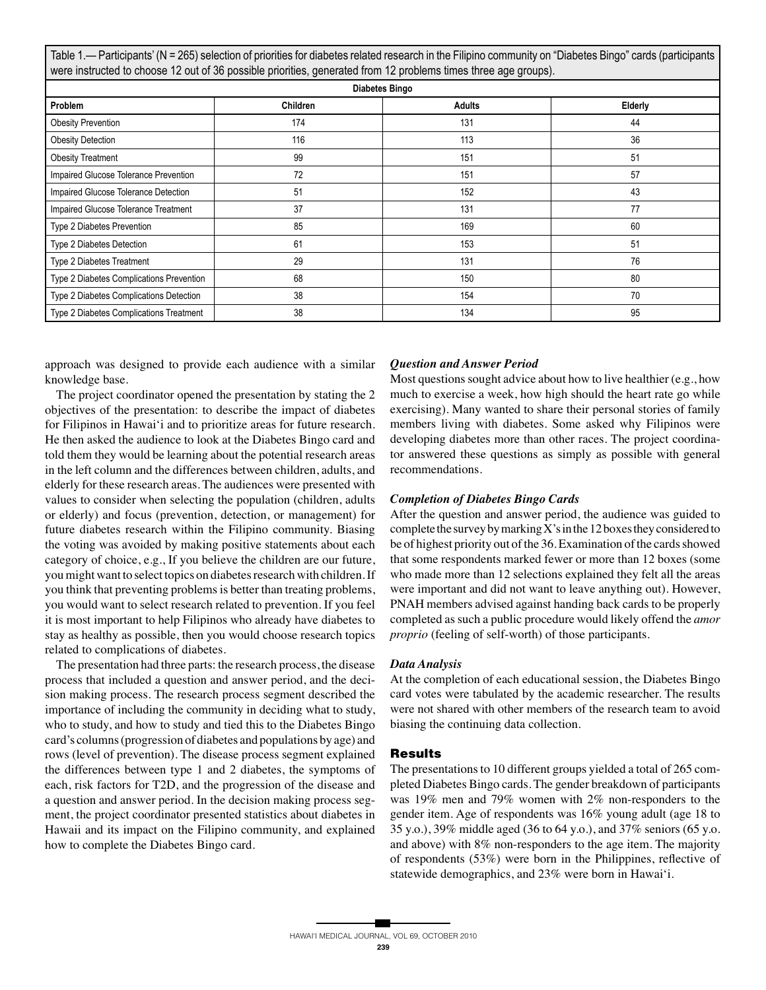Table 1.— Participants' (N = 265) selection of priorities for diabetes related research in the Filipino community on "Diabetes Bingo" cards (participants were instructed to choose 12 out of 36 possible priorities, generated from 12 problems times three age groups).

| <b>Diabetes Bingo</b>                    |          |               |         |
|------------------------------------------|----------|---------------|---------|
| Problem                                  | Children | <b>Adults</b> | Elderly |
| <b>Obesity Prevention</b>                | 174      | 131           | 44      |
| <b>Obesity Detection</b>                 | 116      | 113           | 36      |
| <b>Obesity Treatment</b>                 | 99       | 151           | 51      |
| Impaired Glucose Tolerance Prevention    | 72       | 151           | 57      |
| Impaired Glucose Tolerance Detection     | 51       | 152           | 43      |
| Impaired Glucose Tolerance Treatment     | 37       | 131           | 77      |
| Type 2 Diabetes Prevention               | 85       | 169           | 60      |
| Type 2 Diabetes Detection                | 61       | 153           | 51      |
| Type 2 Diabetes Treatment                | 29       | 131           | 76      |
| Type 2 Diabetes Complications Prevention | 68       | 150           | 80      |
| Type 2 Diabetes Complications Detection  | 38       | 154           | 70      |
| Type 2 Diabetes Complications Treatment  | 38       | 134           | 95      |

approach was designed to provide each audience with a similar knowledge base.

 The project coordinator opened the presentation by stating the 2 objectives of the presentation: to describe the impact of diabetes for Filipinos in Hawai'i and to prioritize areas for future research. He then asked the audience to look at the Diabetes Bingo card and told them they would be learning about the potential research areas in the left column and the differences between children, adults, and elderly for these research areas. The audiences were presented with values to consider when selecting the population (children, adults or elderly) and focus (prevention, detection, or management) for future diabetes research within the Filipino community. Biasing the voting was avoided by making positive statements about each category of choice, e.g., If you believe the children are our future, you might want to select topics on diabetes research with children. If you think that preventing problems is better than treating problems, you would want to select research related to prevention. If you feel it is most important to help Filipinos who already have diabetes to stay as healthy as possible, then you would choose research topics related to complications of diabetes.

 The presentation had three parts: the research process, the disease process that included a question and answer period, and the decision making process. The research process segment described the importance of including the community in deciding what to study, who to study, and how to study and tied this to the Diabetes Bingo card's columns (progression of diabetes and populations by age) and rows (level of prevention). The disease process segment explained the differences between type 1 and 2 diabetes, the symptoms of each, risk factors for T2D, and the progression of the disease and a question and answer period. In the decision making process segment, the project coordinator presented statistics about diabetes in Hawaii and its impact on the Filipino community, and explained how to complete the Diabetes Bingo card.

# *Question and Answer Period*

Most questions sought advice about how to live healthier (e.g., how much to exercise a week, how high should the heart rate go while exercising). Many wanted to share their personal stories of family members living with diabetes. Some asked why Filipinos were developing diabetes more than other races. The project coordinator answered these questions as simply as possible with general recommendations.

# *Completion of Diabetes Bingo Cards*

After the question and answer period, the audience was guided to complete the survey by marking X's in the 12 boxes they considered to be of highest priority out of the 36. Examination of the cards showed that some respondents marked fewer or more than 12 boxes (some who made more than 12 selections explained they felt all the areas were important and did not want to leave anything out). However, PNAH members advised against handing back cards to be properly completed as such a public procedure would likely offend the *amor proprio* (feeling of self-worth) of those participants.

#### *Data Analysis*

At the completion of each educational session, the Diabetes Bingo card votes were tabulated by the academic researcher. The results were not shared with other members of the research team to avoid biasing the continuing data collection.

## **Results**

The presentations to 10 different groups yielded a total of 265 completed Diabetes Bingo cards. The gender breakdown of participants was 19% men and 79% women with 2% non-responders to the gender item. Age of respondents was 16% young adult (age 18 to 35 y.o.), 39% middle aged (36 to 64 y.o.), and 37% seniors (65 y.o. and above) with 8% non-responders to the age item. The majority of respondents (53%) were born in the Philippines, reflective of statewide demographics, and 23% were born in Hawai'i.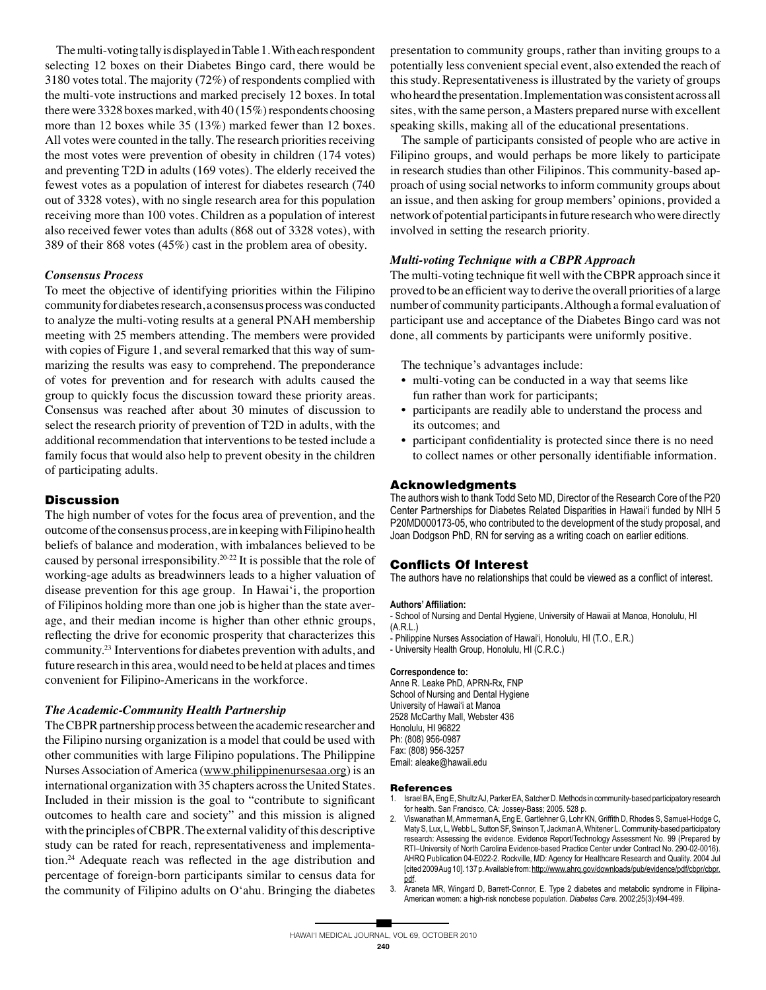The multi-voting tally is displayed in Table 1. With each respondent selecting 12 boxes on their Diabetes Bingo card, there would be 3180 votes total. The majority (72%) of respondents complied with the multi-vote instructions and marked precisely 12 boxes. In total there were 3328 boxes marked, with 40 (15%) respondents choosing more than 12 boxes while 35 (13%) marked fewer than 12 boxes. All votes were counted in the tally. The research priorities receiving the most votes were prevention of obesity in children (174 votes) and preventing T2D in adults (169 votes). The elderly received the fewest votes as a population of interest for diabetes research (740 out of 3328 votes), with no single research area for this population receiving more than 100 votes. Children as a population of interest also received fewer votes than adults (868 out of 3328 votes), with 389 of their 868 votes (45%) cast in the problem area of obesity.

## *Consensus Process*

To meet the objective of identifying priorities within the Filipino community for diabetes research, a consensus process was conducted to analyze the multi-voting results at a general PNAH membership meeting with 25 members attending. The members were provided with copies of Figure 1, and several remarked that this way of summarizing the results was easy to comprehend. The preponderance of votes for prevention and for research with adults caused the group to quickly focus the discussion toward these priority areas. Consensus was reached after about 30 minutes of discussion to select the research priority of prevention of T2D in adults, with the additional recommendation that interventions to be tested include a family focus that would also help to prevent obesity in the children of participating adults.

# **Discussion**

The high number of votes for the focus area of prevention, and the outcome of the consensus process, are in keeping with Filipino health beliefs of balance and moderation, with imbalances believed to be caused by personal irresponsibility.20-22 It is possible that the role of working-age adults as breadwinners leads to a higher valuation of disease prevention for this age group. In Hawai'i, the proportion of Filipinos holding more than one job is higher than the state average, and their median income is higher than other ethnic groups, reflecting the drive for economic prosperity that characterizes this community.23 Interventions for diabetes prevention with adults, and future research in this area, would need to be held at places and times convenient for Filipino-Americans in the workforce.

## *The Academic-Community Health Partnership*

The CBPR partnership process between the academic researcher and the Filipino nursing organization is a model that could be used with other communities with large Filipino populations. The Philippine Nurses Association of America (www.philippinenursesaa.org) is an international organization with 35 chapters across the United States. Included in their mission is the goal to "contribute to significant outcomes to health care and society" and this mission is aligned with the principles of CBPR. The external validity of this descriptive study can be rated for reach, representativeness and implementation.24 Adequate reach was reflected in the age distribution and percentage of foreign-born participants similar to census data for the community of Filipino adults on O'ahu. Bringing the diabetes

presentation to community groups, rather than inviting groups to a potentially less convenient special event, also extended the reach of this study. Representativeness is illustrated by the variety of groups who heard the presentation. Implementation was consistent across all sites, with the same person, a Masters prepared nurse with excellent speaking skills, making all of the educational presentations.

 The sample of participants consisted of people who are active in Filipino groups, and would perhaps be more likely to participate in research studies than other Filipinos. This community-based approach of using social networks to inform community groups about an issue, and then asking for group members' opinions, provided a network of potential participants in future research who were directly involved in setting the research priority.

## *Multi-voting Technique with a CBPR Approach*

The multi-voting technique fit well with the CBPR approach since it proved to be an efficient way to derive the overall priorities of a large number of community participants. Although a formal evaluation of participant use and acceptance of the Diabetes Bingo card was not done, all comments by participants were uniformly positive.

The technique's advantages include:

- multi-voting can be conducted in a way that seems like fun rather than work for participants;
- participants are readily able to understand the process and its outcomes; and
- participant confidentiality is protected since there is no need to collect names or other personally identifiable information.

## **Acknowledgments**

The authors wish to thank Todd Seto MD, Director of the Research Core of the P20 Center Partnerships for Diabetes Related Disparities in Hawai'i funded by NIH 5 P20MD000173-05, who contributed to the development of the study proposal, and Joan Dodgson PhD, RN for serving as a writing coach on earlier editions.

# **Conflicts Of Interest**

The authors have no relationships that could be viewed as a conflict of interest.

## **Authors' Affiliation:**

- School of Nursing and Dental Hygiene, University of Hawaii at Manoa, Honolulu, HI (A.R.L.)

- Philippine Nurses Association of Hawai'i, Honolulu, HI (T.O., E.R.)

- University Health Group, Honolulu, HI (C.R.C.)

#### **Correspondence to:**

Anne R. Leake PhD, APRN-Rx, FNP School of Nursing and Dental Hygiene University of Hawai'i at Manoa 2528 McCarthy Mall, Webster 436 Honolulu, HI 96822 Ph: (808) 956-0987 Fax: (808) 956-3257 Email: aleake@hawaii.edu

#### **References**

- 1. Israel BA, Eng E, Shultz AJ, Parker EA, Satcher D. Methods in community-based participatory research for health. San Francisco, CA: Jossey-Bass; 2005. 528 p.
- 2. Viswanathan M, Ammerman A, Eng E, Gartlehner G, Lohr KN, Griffith D, Rhodes S, Samuel-Hodge C, Maty S, Lux, L, Webb L, Sutton SF, Swinson T, Jackman A, Whitener L. Community-based participatory research: Assessing the evidence. Evidence Report/Technology Assessment No. 99 (Prepared by RTI–University of North Carolina Evidence-based Practice Center under Contract No. 290-02-0016). AHRQ Publication 04-E022-2. Rockville, MD: Agency for Healthcare Research and Quality. 2004 Jul [cited 2009 Aug 10]. 137 p. Available from: http://www.ahrq.gov/downloads/pub/evidence/pdf/cbpr/cbpr. pdf.
- 3. Araneta MR, Wingard D, Barrett-Connor, E. Type 2 diabetes and metabolic syndrome in Filipina-American women: a high-risk nonobese population. *Diabetes Care.* 2002;25(3):494-499.